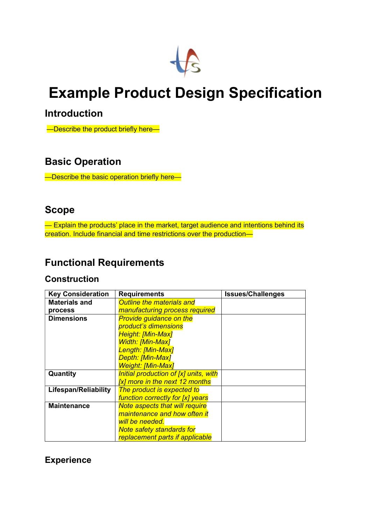

# Example Product Design Specification

## Introduction

—Describe the product briefly here—

# Basic Operation

—Describe the basic operation briefly here—

## Scope

- Explain the products' place in the market, target audience and intentions behind its creation. Include financial and time restrictions over the production—

# Functional Requirements

#### **Construction**

| <b>Key Consideration</b> | <b>Requirements</b>                   | <b>Issues/Challenges</b> |
|--------------------------|---------------------------------------|--------------------------|
| <b>Materials and</b>     | <b>Outline the materials and</b>      |                          |
| process                  | <b>manufacturing process required</b> |                          |
| <b>Dimensions</b>        | <b>Provide guidance on the</b>        |                          |
|                          | product's dimensions                  |                          |
|                          | <b>Height: [Min-Max]</b>              |                          |
|                          | <b>Width: [Min-Max]</b>               |                          |
|                          | Length: [Min-Max]                     |                          |
|                          | Depth: [Min-Max]                      |                          |
|                          | Weight: [Min-Max]                     |                          |
| Quantity                 | Initial production of [x] units, with |                          |
|                          | [x] more in the next 12 months        |                          |
| Lifespan/Reliability     | The product is expected to            |                          |
|                          | function correctly for [x] years      |                          |
| <b>Maintenance</b>       | <b>Note aspects that will require</b> |                          |
|                          | maintenance and how often it          |                          |
|                          | will be needed.                       |                          |
|                          | <b>Note safety standards for</b>      |                          |
|                          | replacement parts if applicable       |                          |

#### **Experience**